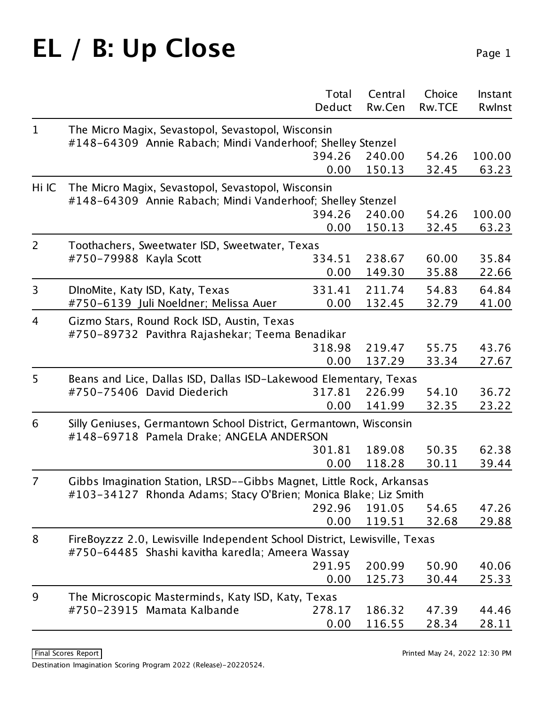## EL / B: Up Close Page 1

|                |                                                                                                                               | Total<br>Deduct | Central<br>Rw.Cen | Choice<br><b>Rw.TCE</b> | Instant<br>Rwlnst |  |  |
|----------------|-------------------------------------------------------------------------------------------------------------------------------|-----------------|-------------------|-------------------------|-------------------|--|--|
| $\mathbf{1}$   | The Micro Magix, Sevastopol, Sevastopol, Wisconsin                                                                            |                 |                   |                         |                   |  |  |
|                | #148-64309 Annie Rabach; Mindi Vanderhoof; Shelley Stenzel                                                                    |                 |                   |                         |                   |  |  |
|                |                                                                                                                               | 394.26          | 240.00            | 54.26                   | 100.00            |  |  |
|                |                                                                                                                               | 0.00            | 150.13            | 32.45                   | 63.23             |  |  |
| Hi IC          | The Micro Magix, Sevastopol, Sevastopol, Wisconsin                                                                            |                 |                   |                         |                   |  |  |
|                | #148-64309 Annie Rabach; Mindi Vanderhoof; Shelley Stenzel                                                                    |                 |                   |                         |                   |  |  |
|                |                                                                                                                               | 394.26          | 240.00            | 54.26                   | 100.00            |  |  |
|                |                                                                                                                               | 0.00            | 150.13            | 32.45                   | 63.23             |  |  |
| $\overline{2}$ | Toothachers, Sweetwater ISD, Sweetwater, Texas                                                                                |                 |                   |                         |                   |  |  |
|                | #750-79988 Kayla Scott                                                                                                        | 334.51          | 238.67            | 60.00                   | 35.84             |  |  |
|                |                                                                                                                               | 0.00            | 149.30            | 35.88                   | 22.66             |  |  |
| $\overline{3}$ | DInoMite, Katy ISD, Katy, Texas                                                                                               | 331.41          | 211.74            | 54.83                   | 64.84             |  |  |
|                | #750-6139 Juli Noeldner; Melissa Auer                                                                                         | 0.00            | 132.45            | 32.79                   | 41.00             |  |  |
| $\overline{4}$ | Gizmo Stars, Round Rock ISD, Austin, Texas                                                                                    |                 |                   |                         |                   |  |  |
|                | #750-89732 Pavithra Rajashekar; Teema Benadikar                                                                               |                 |                   |                         |                   |  |  |
|                |                                                                                                                               | 318.98          | 219.47            | 55.75                   | 43.76             |  |  |
|                |                                                                                                                               | 0.00            | 137.29            | 33.34                   | 27.67             |  |  |
| 5              | Beans and Lice, Dallas ISD, Dallas ISD-Lakewood Elementary, Texas                                                             |                 |                   |                         |                   |  |  |
|                | #750-75406 David Diederich                                                                                                    | 317.81          | 226.99            | 54.10                   | 36.72             |  |  |
|                |                                                                                                                               | 0.00            | 141.99            | 32.35                   | 23.22             |  |  |
| 6              | Silly Geniuses, Germantown School District, Germantown, Wisconsin<br>#148-69718 Pamela Drake; ANGELA ANDERSON                 |                 |                   |                         |                   |  |  |
|                |                                                                                                                               | 301.81          | 189.08            | 50.35                   | 62.38             |  |  |
|                |                                                                                                                               | 0.00            | 118.28            | 30.11                   | 39.44             |  |  |
| $\overline{7}$ | Gibbs Imagination Station, LRSD--Gibbs Magnet, Little Rock, Arkansas                                                          |                 |                   |                         |                   |  |  |
|                | #103-34127 Rhonda Adams; Stacy O'Brien; Monica Blake; Liz Smith                                                               |                 |                   |                         |                   |  |  |
|                |                                                                                                                               | 292.96          | 191.05            | 54.65                   | 47.26             |  |  |
|                |                                                                                                                               | 0.00            | 119.51            | 32.68                   | 29.88             |  |  |
| 8              | FireBoyzzz 2.0, Lewisville Independent School District, Lewisville, Texas<br>#750-64485 Shashi kavitha karedla; Ameera Wassay |                 |                   |                         |                   |  |  |
|                |                                                                                                                               | 291.95          | 200.99            | 50.90                   | 40.06             |  |  |
|                |                                                                                                                               | 0.00            | 125.73            | 30.44                   | 25.33             |  |  |
| 9              | The Microscopic Masterminds, Katy ISD, Katy, Texas                                                                            |                 |                   |                         |                   |  |  |
|                | #750-23915 Mamata Kalbande                                                                                                    | 278.17          | 186.32            | 47.39                   | 44.46             |  |  |
|                |                                                                                                                               | 0.00            | 116.55            | 28.34                   | 28.11             |  |  |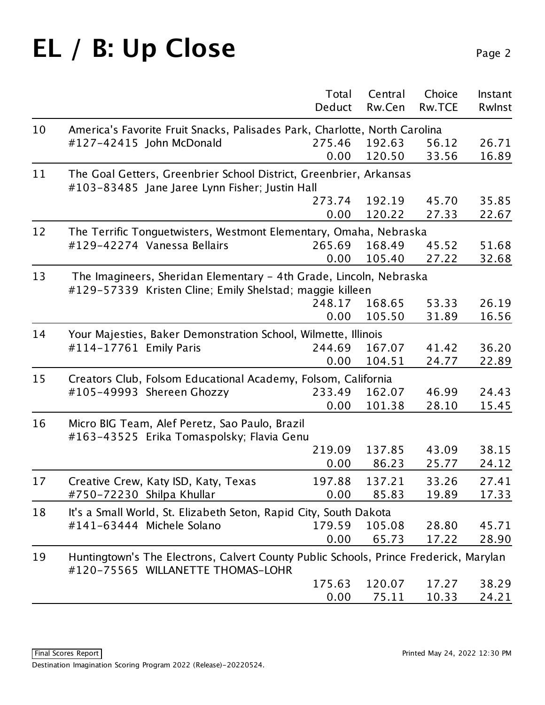# EL / B: Up Close Page 2

|    |                                                                                                                            | Total  | Central | Choice        | Instant |  |
|----|----------------------------------------------------------------------------------------------------------------------------|--------|---------|---------------|---------|--|
|    |                                                                                                                            | Deduct | Rw.Cen  | <b>Rw.TCE</b> | Rwlnst  |  |
| 10 | America's Favorite Fruit Snacks, Palisades Park, Charlotte, North Carolina                                                 |        |         |               |         |  |
|    | #127-42415 John McDonald                                                                                                   | 275.46 | 192.63  | 56.12         | 26.71   |  |
|    |                                                                                                                            | 0.00   | 120.50  | 33.56         | 16.89   |  |
| 11 | The Goal Getters, Greenbrier School District, Greenbrier, Arkansas<br>#103-83485 Jane Jaree Lynn Fisher; Justin Hall       |        |         |               |         |  |
|    |                                                                                                                            | 273.74 | 192.19  | 45.70         | 35.85   |  |
|    |                                                                                                                            | 0.00   | 120.22  | 27.33         | 22.67   |  |
| 12 | The Terrific Tonguetwisters, Westmont Elementary, Omaha, Nebraska                                                          |        |         |               |         |  |
|    | #129-42274 Vanessa Bellairs                                                                                                | 265.69 | 168.49  | 45.52         | 51.68   |  |
|    |                                                                                                                            | 0.00   | 105.40  | 27.22         | 32.68   |  |
| 13 | The Imagineers, Sheridan Elementary - 4th Grade, Lincoln, Nebraska                                                         |        |         |               |         |  |
|    | #129-57339 Kristen Cline; Emily Shelstad; maggie killeen                                                                   |        |         |               |         |  |
|    |                                                                                                                            | 248.17 | 168.65  | 53.33         | 26.19   |  |
|    |                                                                                                                            | 0.00   | 105.50  | 31.89         | 16.56   |  |
| 14 | Your Majesties, Baker Demonstration School, Wilmette, Illinois                                                             |        |         |               |         |  |
|    | #114-17761 Emily Paris                                                                                                     | 244.69 | 167.07  | 41.42         | 36.20   |  |
|    |                                                                                                                            | 0.00   | 104.51  | 24.77         | 22.89   |  |
| 15 | Creators Club, Folsom Educational Academy, Folsom, California                                                              |        |         |               |         |  |
|    | #105-49993 Shereen Ghozzy                                                                                                  | 233.49 | 162.07  | 46.99         | 24.43   |  |
|    |                                                                                                                            | 0.00   | 101.38  | 28.10         | 15.45   |  |
| 16 | Micro BIG Team, Alef Peretz, Sao Paulo, Brazil<br>#163-43525 Erika Tomaspolsky; Flavia Genu                                |        |         |               |         |  |
|    |                                                                                                                            | 219.09 | 137.85  | 43.09         | 38.15   |  |
|    |                                                                                                                            | 0.00   | 86.23   | 25.77         | 24.12   |  |
| 17 | Creative Crew, Katy ISD, Katy, Texas                                                                                       | 197.88 | 137.21  | 33.26         | 27.41   |  |
|    | #750-72230 Shilpa Khullar                                                                                                  | 0.00   | 85.83   | 19.89         | 17.33   |  |
| 18 | It's a Small World, St. Elizabeth Seton, Rapid City, South Dakota                                                          |        |         |               |         |  |
|    | #141-63444 Michele Solano                                                                                                  | 179.59 | 105.08  | 28.80         | 45.71   |  |
|    |                                                                                                                            | 0.00   | 65.73   | 17.22         | 28.90   |  |
| 19 | Huntingtown's The Electrons, Calvert County Public Schools, Prince Frederick, Marylan<br>#120-75565 WILLANETTE THOMAS-LOHR |        |         |               |         |  |
|    |                                                                                                                            | 175.63 | 120.07  | 17.27         | 38.29   |  |
|    |                                                                                                                            | 0.00   | 75.11   | 10.33         | 24.21   |  |
|    |                                                                                                                            |        |         |               |         |  |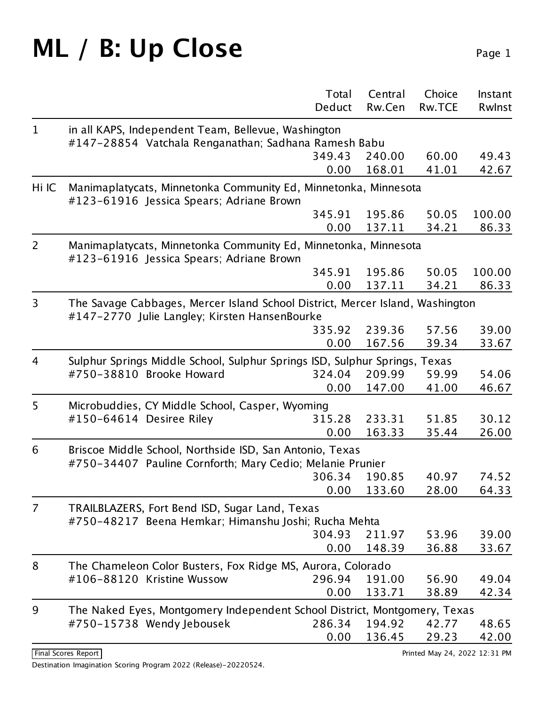#### **ML** / **B:** Up Close Page 1

|                |                                                                                                             | Total<br>Deduct | Central<br>Rw.Cen | Choice<br><b>Rw.TCE</b> | Instant<br>Rwlnst |  |  |
|----------------|-------------------------------------------------------------------------------------------------------------|-----------------|-------------------|-------------------------|-------------------|--|--|
|                |                                                                                                             |                 |                   |                         |                   |  |  |
| $\mathbf{1}$   | in all KAPS, Independent Team, Bellevue, Washington<br>#147-28854 Vatchala Renganathan; Sadhana Ramesh Babu |                 |                   |                         |                   |  |  |
|                |                                                                                                             | 349.43          | 240.00            | 60.00                   | 49.43             |  |  |
|                |                                                                                                             | 0.00            | 168.01            | 41.01                   | 42.67             |  |  |
|                |                                                                                                             |                 |                   |                         |                   |  |  |
| Hi IC          | Manimaplatycats, Minnetonka Community Ed, Minnetonka, Minnesota<br>#123-61916 Jessica Spears; Adriane Brown |                 |                   |                         |                   |  |  |
|                |                                                                                                             | 345.91          | 195.86            | 50.05                   | 100.00            |  |  |
|                |                                                                                                             | 0.00            | 137.11            | 34.21                   | 86.33             |  |  |
| $\overline{2}$ | Manimaplatycats, Minnetonka Community Ed, Minnetonka, Minnesota<br>#123-61916 Jessica Spears; Adriane Brown |                 |                   |                         |                   |  |  |
|                |                                                                                                             | 345.91          | 195.86            | 50.05                   | 100.00            |  |  |
|                |                                                                                                             | 0.00            | 137.11            | 34.21                   | 86.33             |  |  |
| 3              | The Savage Cabbages, Mercer Island School District, Mercer Island, Washington                               |                 |                   |                         |                   |  |  |
|                | #147-2770 Julie Langley; Kirsten HansenBourke                                                               |                 |                   |                         |                   |  |  |
|                |                                                                                                             | 335.92<br>0.00  | 239.36<br>167.56  | 57.56<br>39.34          | 39.00<br>33.67    |  |  |
|                |                                                                                                             |                 |                   |                         |                   |  |  |
| $\overline{4}$ | Sulphur Springs Middle School, Sulphur Springs ISD, Sulphur Springs, Texas                                  |                 |                   |                         |                   |  |  |
|                | #750-38810 Brooke Howard                                                                                    | 324.04          | 209.99            | 59.99                   | 54.06             |  |  |
|                |                                                                                                             | 0.00            | 147.00            | 41.00                   | 46.67             |  |  |
| 5              | Microbuddies, CY Middle School, Casper, Wyoming                                                             |                 |                   |                         |                   |  |  |
|                | #150-64614 Desiree Riley                                                                                    | 315.28          | 233.31            | 51.85                   | 30.12             |  |  |
|                |                                                                                                             | 0.00            | 163.33            | 35.44                   | 26.00             |  |  |
| 6              | Briscoe Middle School, Northside ISD, San Antonio, Texas                                                    |                 |                   |                         |                   |  |  |
|                | #750-34407 Pauline Cornforth; Mary Cedio; Melanie Prunier                                                   |                 |                   |                         |                   |  |  |
|                |                                                                                                             | 306.34          | 190.85            | 40.97                   | 74.52             |  |  |
|                |                                                                                                             | 0.00            | 133.60            | 28.00                   | 64.33             |  |  |
| 7              | TRAILBLAZERS, Fort Bend ISD, Sugar Land, Texas<br>#750-48217 Beena Hemkar; Himanshu Joshi; Rucha Mehta      |                 |                   |                         |                   |  |  |
|                |                                                                                                             | 304.93          | 211.97            | 53.96                   | 39.00             |  |  |
|                |                                                                                                             | 0.00            | 148.39            | 36.88                   | 33.67             |  |  |
| 8              | The Chameleon Color Busters, Fox Ridge MS, Aurora, Colorado                                                 |                 |                   |                         |                   |  |  |
|                | #106-88120 Kristine Wussow                                                                                  | 296.94          | 191.00            | 56.90                   | 49.04             |  |  |
|                |                                                                                                             | 0.00            | 133.71            | 38.89                   | 42.34             |  |  |
|                |                                                                                                             |                 |                   |                         |                   |  |  |
| 9              | The Naked Eyes, Montgomery Independent School District, Montgomery, Texas                                   | 286.34          | 194.92            | 42.77                   |                   |  |  |
|                | #750-15738 Wendy Jebousek                                                                                   |                 |                   |                         | 48.65             |  |  |
|                |                                                                                                             | 0.00            | 136.45            | 29.23                   | 42.00             |  |  |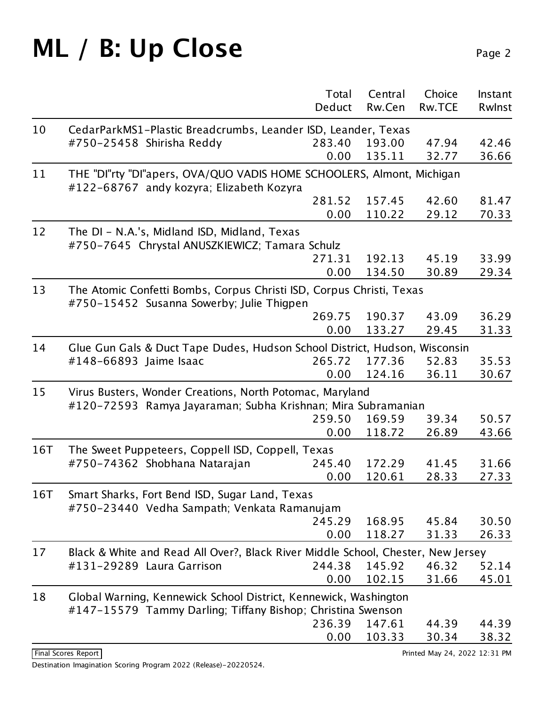#### ML / B: Up Close Page 2

|     |                                                                                                                          | Total<br>Deduct | Central<br>Rw.Cen | Choice<br>Rw.TCE | Instant<br>Rwlnst |  |
|-----|--------------------------------------------------------------------------------------------------------------------------|-----------------|-------------------|------------------|-------------------|--|
| 10  | CedarParkMS1-Plastic Breadcrumbs, Leander ISD, Leander, Texas                                                            |                 |                   |                  |                   |  |
|     | #750-25458 Shirisha Reddy                                                                                                | 283.40          | 193.00            | 47.94            | 42.46             |  |
|     |                                                                                                                          | 0.00            | 135.11            | 32.77            | 36.66             |  |
| 11  | THE "DI"rty "DI"apers, OVA/QUO VADIS HOME SCHOOLERS, Almont, Michigan                                                    |                 |                   |                  |                   |  |
|     | #122-68767 andy kozyra; Elizabeth Kozyra                                                                                 |                 |                   |                  |                   |  |
|     |                                                                                                                          | 281.52          | 157.45            | 42.60            | 81.47             |  |
|     |                                                                                                                          | 0.00            | 110.22            | 29.12            | 70.33             |  |
| 12  | The DI - N.A.'s, Midland ISD, Midland, Texas<br>#750-7645 Chrystal ANUSZKIEWICZ; Tamara Schulz                           |                 |                   |                  |                   |  |
|     |                                                                                                                          | 271.31          | 192.13            | 45.19            | 33.99             |  |
|     |                                                                                                                          | 0.00            | 134.50            | 30.89            | 29.34             |  |
| 13  | The Atomic Confetti Bombs, Corpus Christi ISD, Corpus Christi, Texas<br>#750-15452 Susanna Sowerby; Julie Thigpen        |                 |                   |                  |                   |  |
|     |                                                                                                                          | 269.75          | 190.37            | 43.09            | 36.29             |  |
|     |                                                                                                                          | 0.00            | 133.27            | 29.45            | 31.33             |  |
| 14  | Glue Gun Gals & Duct Tape Dudes, Hudson School District, Hudson, Wisconsin                                               |                 |                   |                  |                   |  |
|     | #148-66893 Jaime Isaac                                                                                                   | 265.72          | 177.36            | 52.83            | 35.53             |  |
|     |                                                                                                                          | 0.00            | 124.16            | 36.11            | 30.67             |  |
| 15  | Virus Busters, Wonder Creations, North Potomac, Maryland<br>#120-72593 Ramya Jayaraman; Subha Krishnan; Mira Subramanian |                 |                   |                  |                   |  |
|     |                                                                                                                          | 259.50          | 169.59            | 39.34            | 50.57             |  |
|     |                                                                                                                          | 0.00            | 118.72            | 26.89            | 43.66             |  |
| 16T | The Sweet Puppeteers, Coppell ISD, Coppell, Texas                                                                        |                 |                   |                  |                   |  |
|     | #750-74362 Shobhana Natarajan                                                                                            | 245.40          | 172.29            | 41.45            | 31.66             |  |
|     |                                                                                                                          | 0.00            | 120.61            | 28.33            | 27.33             |  |
| 16T | Smart Sharks, Fort Bend ISD, Sugar Land, Texas<br>#750-23440 Vedha Sampath; Venkata Ramanujam                            |                 |                   |                  |                   |  |
|     |                                                                                                                          | 245.29          | 168.95            | 45.84            | 30.50             |  |
|     |                                                                                                                          | 0.00            | 118.27            | 31.33            | 26.33             |  |
| 17  | Black & White and Read All Over?, Black River Middle School, Chester, New Jersey                                         |                 |                   |                  |                   |  |
|     | #131-29289 Laura Garrison                                                                                                | 244.38          | 145.92            | 46.32            | 52.14             |  |
|     |                                                                                                                          | 0.00            | 102.15            | 31.66            | 45.01             |  |
| 18  | Global Warning, Kennewick School District, Kennewick, Washington                                                         |                 |                   |                  |                   |  |
|     | #147-15579 Tammy Darling; Tiffany Bishop; Christina Swenson                                                              |                 |                   |                  |                   |  |
|     |                                                                                                                          | 236.39          | 147.61            | 44.39            | 44.39             |  |
|     |                                                                                                                          | 0.00            | 103.33            | 30.34            | 38.32             |  |
|     |                                                                                                                          |                 |                   |                  |                   |  |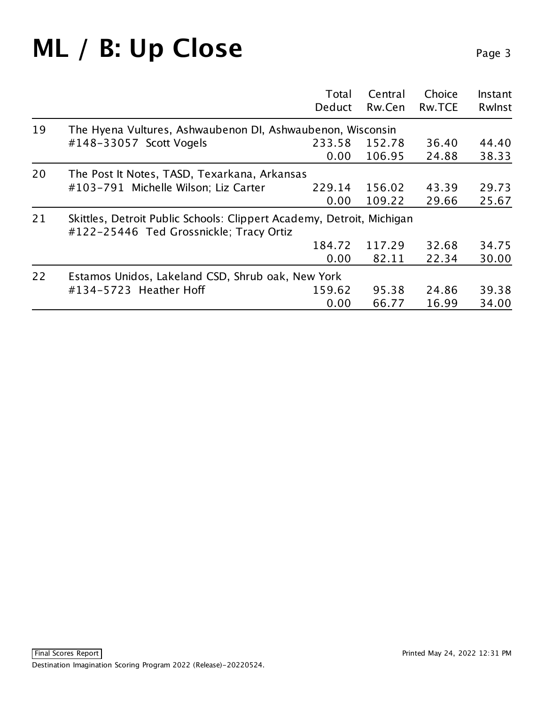#### ML / B: Up Close Page 3

|    |                                                                                                                  | Total<br>Deduct | Central<br>Rw.Cen | Choice<br><b>Rw.TCE</b> | Instant<br>Rwlnst |
|----|------------------------------------------------------------------------------------------------------------------|-----------------|-------------------|-------------------------|-------------------|
| 19 | The Hyena Vultures, Ashwaubenon DI, Ashwaubenon, Wisconsin                                                       |                 |                   |                         |                   |
|    | #148-33057 Scott Vogels                                                                                          | 233.58          | 152.78            | 36.40                   | 44.40             |
|    |                                                                                                                  | 0.00            | 106.95            | 24.88                   | 38.33             |
| 20 | The Post It Notes, TASD, Texarkana, Arkansas                                                                     |                 |                   |                         |                   |
|    | #103-791 Michelle Wilson; Liz Carter                                                                             | 229.14          | 156.02            | 43.39                   | 29.73             |
|    |                                                                                                                  | 0.00            | 109.22            | 29.66                   | 25.67             |
| 21 | Skittles, Detroit Public Schools: Clippert Academy, Detroit, Michigan<br>#122-25446 Ted Grossnickle; Tracy Ortiz |                 |                   |                         |                   |
|    |                                                                                                                  | 184.72          | 117.29            | 32.68                   | 34.75             |
|    |                                                                                                                  | 0.00            | 82.11             | 22.34                   | 30.00             |
| 22 | Estamos Unidos, Lakeland CSD, Shrub oak, New York                                                                |                 |                   |                         |                   |
|    | #134-5723 Heather Hoff                                                                                           | 159.62          | 95.38             | 24.86                   | 39.38             |
|    |                                                                                                                  | 0.00            | 66.77             | 16.99                   | 34.00             |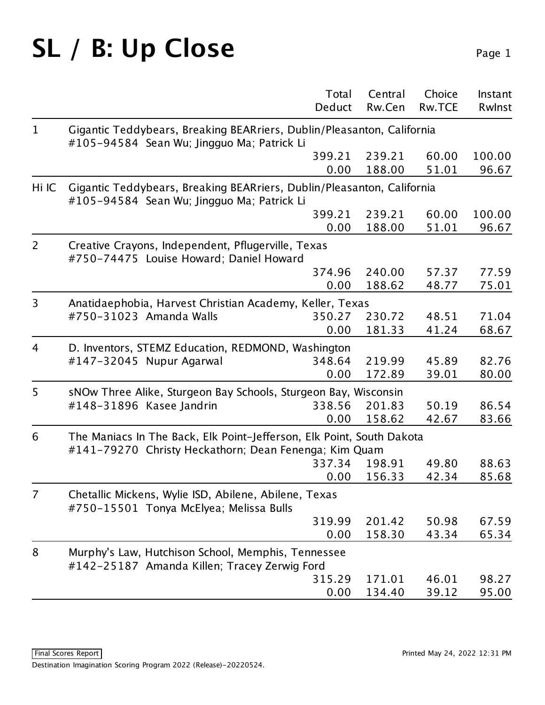## SL / B: Up Close Page 1

|                |                                                                                                                                | Total<br>Deduct                                          | Central<br>Rw.Cen | Choice<br><b>Rw.TCE</b> | Instant<br>Rwlnst |  |  |
|----------------|--------------------------------------------------------------------------------------------------------------------------------|----------------------------------------------------------|-------------------|-------------------------|-------------------|--|--|
|                |                                                                                                                                |                                                          |                   |                         |                   |  |  |
| $\mathbf{1}$   | Gigantic Teddybears, Breaking BEARriers, Dublin/Pleasanton, California<br>#105-94584 Sean Wu; Jingguo Ma; Patrick Li           |                                                          |                   |                         |                   |  |  |
|                |                                                                                                                                | 399.21                                                   | 239.21            | 60.00                   | 100.00            |  |  |
|                |                                                                                                                                | 0.00                                                     | 188.00            | 51.01                   | 96.67             |  |  |
| Hi IC          | Gigantic Teddybears, Breaking BEARriers, Dublin/Pleasanton, California<br>#105-94584 Sean Wu; Jingguo Ma; Patrick Li           |                                                          |                   |                         |                   |  |  |
|                |                                                                                                                                | 399.21                                                   | 239.21            | 60.00                   | 100.00            |  |  |
|                |                                                                                                                                | 0.00                                                     | 188.00            | 51.01                   | 96.67             |  |  |
| $\overline{2}$ | Creative Crayons, Independent, Pflugerville, Texas<br>#750-74475 Louise Howard; Daniel Howard                                  |                                                          |                   |                         |                   |  |  |
|                |                                                                                                                                | 374.96                                                   | 240.00            | 57.37                   | 77.59             |  |  |
|                |                                                                                                                                | 0.00                                                     | 188.62            | 48.77                   | 75.01             |  |  |
| 3              |                                                                                                                                | Anatidaephobia, Harvest Christian Academy, Keller, Texas |                   |                         |                   |  |  |
|                | #750-31023 Amanda Walls                                                                                                        | 350.27                                                   | 230.72            | 48.51                   | 71.04             |  |  |
|                |                                                                                                                                | 0.00                                                     | 181.33            | 41.24                   | 68.67             |  |  |
| 4              | D. Inventors, STEMZ Education, REDMOND, Washington                                                                             |                                                          |                   |                         |                   |  |  |
|                | #147-32045 Nupur Agarwal                                                                                                       | 348.64                                                   | 219.99            | 45.89                   | 82.76             |  |  |
|                |                                                                                                                                | 0.00                                                     | 172.89            | 39.01                   | 80.00             |  |  |
| 5              | sNOw Three Alike, Sturgeon Bay Schools, Sturgeon Bay, Wisconsin                                                                |                                                          |                   |                         |                   |  |  |
|                | #148-31896 Kasee Jandrin                                                                                                       | 338.56                                                   | 201.83            | 50.19                   | 86.54             |  |  |
|                |                                                                                                                                | 0.00                                                     | 158.62            | 42.67                   | 83.66             |  |  |
| 6              | The Maniacs In The Back, Elk Point-Jefferson, Elk Point, South Dakota<br>#141-79270 Christy Heckathorn; Dean Fenenga; Kim Quam |                                                          |                   |                         |                   |  |  |
|                |                                                                                                                                | 337.34                                                   | 198.91            | 49.80                   | 88.63             |  |  |
|                |                                                                                                                                | 0.00                                                     | 156.33            | 42.34                   | 85.68             |  |  |
| $\overline{7}$ | Chetallic Mickens, Wylie ISD, Abilene, Abilene, Texas<br>#750-15501 Tonya McElyea; Melissa Bulls                               |                                                          |                   |                         |                   |  |  |
|                |                                                                                                                                | 319.99                                                   | 201.42            | 50.98                   | 67.59             |  |  |
|                |                                                                                                                                | 0.00                                                     | 158.30            | 43.34                   | 65.34             |  |  |
| 8              | Murphy's Law, Hutchison School, Memphis, Tennessee<br>#142-25187 Amanda Killen; Tracey Zerwig Ford                             |                                                          |                   |                         |                   |  |  |
|                |                                                                                                                                | 315.29                                                   | 171.01            | 46.01                   | 98.27             |  |  |
|                |                                                                                                                                | 0.00                                                     | 134.40            | 39.12                   | 95.00             |  |  |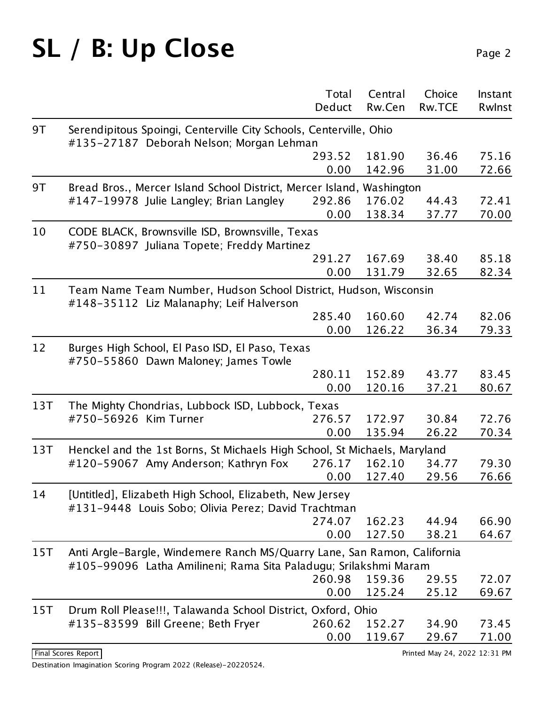# SL / B: Up Close Page 2

|     |                                                                                                                                              | Total<br>Deduct | Central<br>Rw.Cen | Choice<br><b>Rw.TCE</b> | Instant<br>Rwlnst |  |
|-----|----------------------------------------------------------------------------------------------------------------------------------------------|-----------------|-------------------|-------------------------|-------------------|--|
| 9T  | Serendipitous Spoingi, Centerville City Schools, Centerville, Ohio<br>#135-27187 Deborah Nelson; Morgan Lehman                               |                 |                   |                         |                   |  |
|     |                                                                                                                                              | 293.52          | 181.90            | 36.46                   | 75.16             |  |
|     |                                                                                                                                              | 0.00            | 142.96            | 31.00                   | 72.66             |  |
| 9T  | Bread Bros., Mercer Island School District, Mercer Island, Washington                                                                        |                 |                   |                         |                   |  |
|     | #147-19978 Julie Langley; Brian Langley                                                                                                      | 292.86          | 176.02            | 44.43                   | 72.41             |  |
|     |                                                                                                                                              | 0.00            | 138.34            | 37.77                   | 70.00             |  |
| 10  | CODE BLACK, Brownsville ISD, Brownsville, Texas<br>#750-30897 Juliana Topete; Freddy Martinez                                                |                 |                   |                         |                   |  |
|     |                                                                                                                                              | 291.27          | 167.69            | 38.40                   | 85.18             |  |
|     |                                                                                                                                              | 0.00            | 131.79            | 32.65                   | 82.34             |  |
| 11  | Team Name Team Number, Hudson School District, Hudson, Wisconsin<br>#148-35112 Liz Malanaphy; Leif Halverson                                 |                 |                   |                         |                   |  |
|     |                                                                                                                                              | 285.40          | 160.60            | 42.74                   | 82.06             |  |
|     |                                                                                                                                              | 0.00            | 126.22            | 36.34                   | 79.33             |  |
| 12  | Burges High School, El Paso ISD, El Paso, Texas<br>#750-55860 Dawn Maloney; James Towle                                                      |                 |                   |                         |                   |  |
|     |                                                                                                                                              | 280.11          | 152.89            | 43.77                   | 83.45             |  |
|     |                                                                                                                                              | 0.00            | 120.16            | 37.21                   | 80.67             |  |
| 13T | The Mighty Chondrias, Lubbock ISD, Lubbock, Texas                                                                                            |                 |                   |                         |                   |  |
|     | #750-56926 Kim Turner                                                                                                                        | 276.57          | 172.97            | 30.84                   | 72.76             |  |
|     |                                                                                                                                              | 0.00            | 135.94            | 26.22                   | 70.34             |  |
| 13T | Henckel and the 1st Borns, St Michaels High School, St Michaels, Maryland                                                                    |                 |                   |                         |                   |  |
|     | #120-59067 Amy Anderson; Kathryn Fox                                                                                                         | 276.17          | 162.10            | 34.77                   | 79.30             |  |
|     |                                                                                                                                              | 0.00            | 127.40            | 29.56                   | 76.66             |  |
| 14  | [Untitled], Elizabeth High School, Elizabeth, New Jersey<br>#131-9448 Louis Sobo; Olivia Perez; David Trachtman                              |                 |                   |                         |                   |  |
|     |                                                                                                                                              | 274.07          | 162.23            | 44.94                   | 66.90             |  |
|     |                                                                                                                                              | 0.00            | 127.50            | 38.21                   | 64.67             |  |
| 15T | Anti Argle-Bargle, Windemere Ranch MS/Quarry Lane, San Ramon, California<br>#105-99096 Latha Amilineni; Rama Sita Paladugu; Srilakshmi Maram |                 |                   |                         |                   |  |
|     |                                                                                                                                              | 260.98          | 159.36            | 29.55                   | 72.07             |  |
|     |                                                                                                                                              | 0.00            | 125.24            | 25.12                   | 69.67             |  |
| 15T | Drum Roll Please!!!, Talawanda School District, Oxford, Ohio                                                                                 |                 |                   |                         |                   |  |
|     | #135-83599 Bill Greene; Beth Fryer                                                                                                           | 260.62          | 152.27            | 34.90                   | 73.45             |  |
|     |                                                                                                                                              | 0.00            | 119.67            | 29.67                   | 71.00             |  |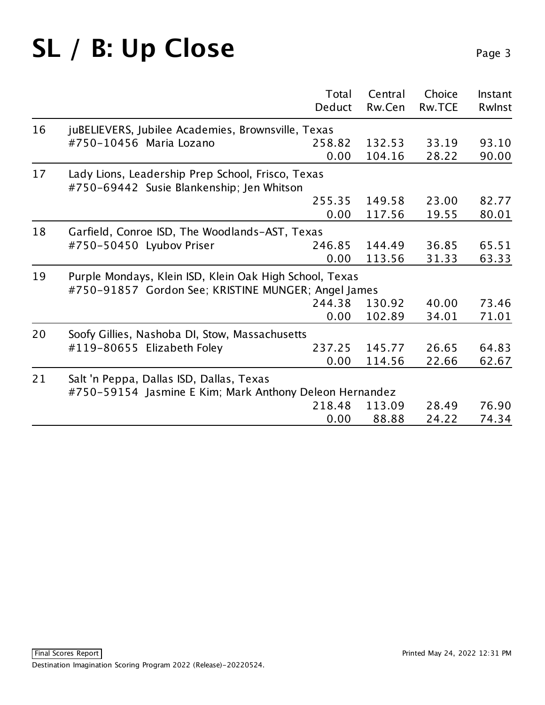# SL / B: Up Close Page 3

|    |                                                                                                | Total<br>Deduct | Central<br>Rw.Cen | Choice<br><b>Rw.TCE</b> | Instant<br>Rwinst |  |  |  |
|----|------------------------------------------------------------------------------------------------|-----------------|-------------------|-------------------------|-------------------|--|--|--|
| 16 | juBELIEVERS, Jubilee Academies, Brownsville, Texas                                             |                 |                   |                         |                   |  |  |  |
|    | #750-10456 Maria Lozano                                                                        | 258.82          | 132.53            | 33.19                   | 93.10             |  |  |  |
|    |                                                                                                | 0.00            | 104.16            | 28.22                   | 90.00             |  |  |  |
| 17 | Lady Lions, Leadership Prep School, Frisco, Texas<br>#750-69442 Susie Blankenship; Jen Whitson |                 |                   |                         |                   |  |  |  |
|    |                                                                                                | 255.35          | 149.58            | 23.00                   | 82.77             |  |  |  |
|    |                                                                                                | 0.00            | 117.56            | 19.55                   | 80.01             |  |  |  |
| 18 | Garfield, Conroe ISD, The Woodlands-AST, Texas                                                 |                 |                   |                         |                   |  |  |  |
|    | #750-50450 Lyubov Priser                                                                       | 246.85          | 144.49            | 36.85                   | 65.51             |  |  |  |
|    |                                                                                                | 0.00            | 113.56            | 31.33                   | 63.33             |  |  |  |
| 19 | Purple Mondays, Klein ISD, Klein Oak High School, Texas                                        |                 |                   |                         |                   |  |  |  |
|    | #750-91857 Gordon See; KRISTINE MUNGER; Angel James                                            |                 |                   |                         |                   |  |  |  |
|    |                                                                                                | 244.38          | 130.92            | 40.00                   | 73.46             |  |  |  |
|    |                                                                                                | 0.00            | 102.89            | 34.01                   | 71.01             |  |  |  |
| 20 | Soofy Gillies, Nashoba DI, Stow, Massachusetts                                                 |                 |                   |                         |                   |  |  |  |
|    | #119-80655 Elizabeth Foley                                                                     | 237.25          | 145.77            | 26.65                   | 64.83             |  |  |  |
|    |                                                                                                | 0.00            | 114.56            | 22.66                   | 62.67             |  |  |  |
| 21 | Salt 'n Peppa, Dallas ISD, Dallas, Texas                                                       |                 |                   |                         |                   |  |  |  |
|    | #750-59154 Jasmine E Kim; Mark Anthony Deleon Hernandez                                        |                 |                   |                         |                   |  |  |  |
|    |                                                                                                | 218.48          | 113.09            | 28.49                   | 76.90             |  |  |  |
|    |                                                                                                | 0.00            | 88.88             | 24.22                   | 74.34             |  |  |  |